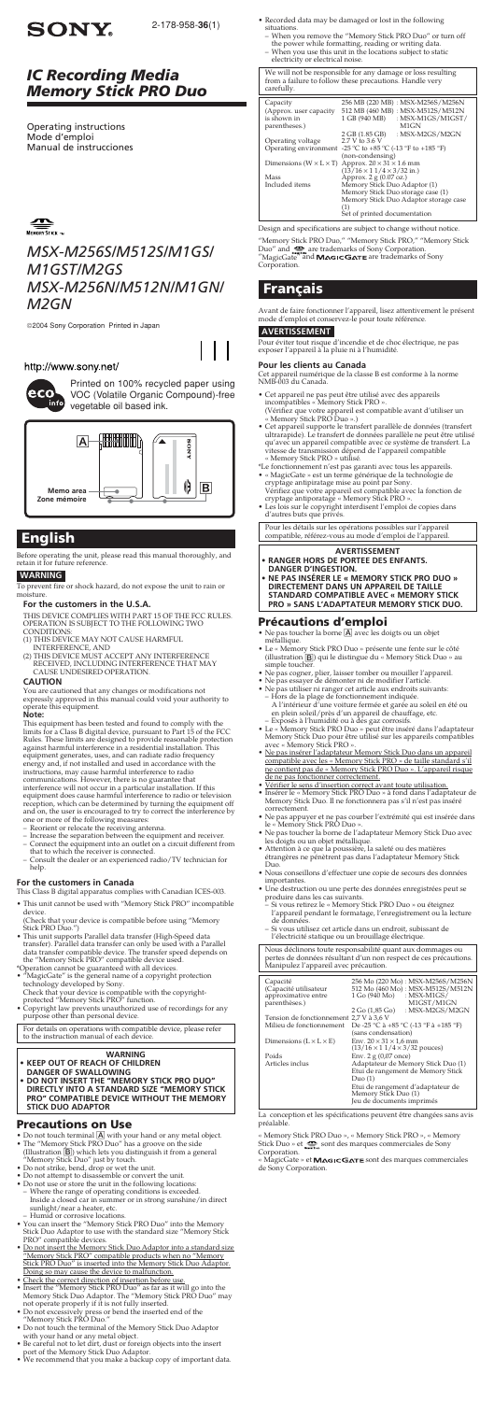## *MSX-M256S/M512S/M1GS/ M1GST/M2GS MSX-M256N/M512N/M1GN/ M2GN*

# **SONY**

2-178-958-**36**(1)

2004 Sony Corporation Printed in Japan

## http://www.sony.net/



## *IC Recording Media Memory Stick PRO Duo*

Printed on 100% recycled paper using VOC (Volatile Organic Compound)-free vegetable oil based ink.

## **English**

Before operating the unit, please read this manual thoroughly, and retain it for future reference.

### **WARNING**

- 
- (1) THIS DEVICE MAY NOT CAUSE HARMFUL<br>INTERFERENCE, AND<br>(2) THIS DEVICE MUST ACCEPT ANY INTERFERENCE<br>RECEIVED, INCLUDING INTERFERENCE THAT MAY
- CAUSE UNDESIRED OPERATION.

To prevent fire or shock hazard, do not expose the unit to rain or moisture.

### **For the customers in the U.S.A.**

THIS DEVICE COMPLIES WITH PART 15 OF THE FCC RULES.<br>OPERATION IS SUBJECT TO THE FOLLOWING TWO<br>CONDITIONS:

**CAUTION** You are cautioned that any changes or modifications not expressly approved in this manual could void your authority to operate this equipment. **Note:**

This equipment has been tested and found to comply with the<br>limits for a Class B digital device, pursuant to Part 15 of the FCC<br>Rules. These limits are designed to provide reasonable protection<br>against harmful interference

- 
- 
- 
- Consult the dealer or an experienced radio/TV technician for<br>help.

### **For the customers in Canada**

This Class B digital apparatus complies with Canadian ICES-003. • This unit cannot be used with "Memory Stick PRO" incompatible

- 
- 
- 
- 
- 
- Do not touch terminal  $[{\underline{\mathbb{A}}} ]$  with your hand or any metal object.<br>
 The "Memory Stick PRO Duo" has a groove on the side (Illustration  $[{\underline{\mathbb{B}}} ]$ ) which lets you distinguish it from a general "Memory Stick Duo" j
	-
- Humid or corrosive locations. You can insert the "Memory Stick PRO Duo" into the Memory Stick Duo Adaptor to use with the standard size "Memory Stick PRO" compatible devices.
- Do not insert the Memory Stick Duo Adaptor into a standard size "Memory Stick PRO" compatible products when no "Memory Stick PRO Duo" is inserted into the Memory Stick Duo Adaptor.
- 
- Doing so may cause the device to malfunction.<br>
 Check the correct direction of insertion before use.<br>
 Insert the "Memory Stick PRO Duo" as far as it will go into the<br>
Memory Stick Duo Adaptor. The "Memory Stick PRO Duo"
- 
- Do not touch the terminal of the Memory Stick Duo Adaptor
- with your hand or any metal object. Be careful not to let dirt, dust or foreign objects into the insert port of the Memory Stick Duo Adaptor. We recommend that you make a backup copy of important data.
- 
- device. (Check that your device is compatible before using "Memory Stick PRO Duo.")
- This unit supports Parallel data transfer (High-Speed data<br>
transfer). Parallel data transfer can only be used with a Parallel<br>
data transfer compatible device. The transfer speed depends on<br>
the "Memory Stick PRO" compa
- 
- 
- For details on operations with compatible device, please refer to the instruction manual of each device.

- **WARNING • KEEP OUT OF REACH OF CHILDREN**
- **DANGER OF SWALLOWING • DO NOT INSERT THE "MEMORY STICK PRO DUO" DIRECTLY INTO A STANDARD SIZE "MEMORY STICK PRO" COMPATIBLE DEVICE WITHOUT THE MEMORY STICK DUO ADAPTOR**
- Cet appareil ne pas peut être utilisé avec des appareils incompatibles « Memory Stick PRO ». (Vérifiez que votre appareil est compatible avant d'utiliser un « Memory Stick PRO Duo ».)
- Cet appareil supporte le transfert parallèle de données (transfert<br>
ultrarapide). Le transfert de données parallèle ne peut être utilisé<br>
qu'avec un appareil compatible avec ce système de transfert. La<br>
vitesse de trans
- 
- 
- 

## **Precautions on Use**

- $\bullet$  Ne pas toucher la borne  $\boxed{\mathbb{A}}$  avec les doigts ou un objet métallique.
- Le « Memory Stick PRO Duo » présente une fente sur le côté (illustration B) qui le distingue du « Memory Stick Duo » au simple toucher.
- Ne pas cogner, plier, laisser tomber ou mouiller l'appareil. Ne pas essayer de démonter ni de modifier l'article.
- 
- Ne pas utiliser ni ranger cet article aux endroits suivants:<br>
 Hors de la plage de fonctionnement indiquée.<br>
A l'intérieur d'une voiture fermée et garée au soleil en été ou<br>
en plein soleil/près d'un appareil de chauff
- 
- Ne pas insérer l'adaptateur Memory Stick Duo dans un appareil compatible avec les « Memory Stick PRO » de taille standard s'il ne contient pas de « Memory Stick PRO Duo ». L'appareil risque de ne pas fonctionner correctement.
- Vérifier le sens d'insertion correct avant toute utilisation. Insérer le « Memory Stick PRO Duo » à fond dans l'adaptateur de Memory Stick Duo. Il ne fonctionnera pas s'il n'est pas inséré correctement.
- 
- 
- Ne pas appuyer et ne pas courber l'extrémité qui est insérée dans<br>le « Memory Stick PRO Duo ».<br>• Ne pas toucher la borne de l'adaptateur Memory Stick Duo avec<br>les doigts ou un objet métallique.<br>• Attention à ce que la p
- Duo. • Nous conseillons d'effectuer une copie de secours des données
- 
- importantes.<br>
 Une destruction ou une perte des données enregistrées peut se<br>
produire dans les cas suivants.<br>
 Si vous retirez le « Memory Stick PRO Duo » ou éteignez<br>
l'appareil pendant le formatage, l'enregistrement o
- Si vous utilisez cet article dans un endroit, subissant de l'électricité statique ou un brouillage électrique.
- Recorded data may be damaged or lost in the following situations.
- When you remove the "Memory Stick PRO Duo" or turn off
- the power while formatting, reading or writing data. When you use this unit in the locations subject to static electricity or electrical noise.

« Memory Stick PRO Duo », « Memory Stick PRO », « Memory<br>Stick Duo » et sont des marques commerciales de Sony Corporation.

 $M\ddot{a}$ gicGate » et  $M\Delta G$ ICG $\Delta T E$  sont des marques commerciales de Sony Corporation.

| We will not be responsible for any damage or loss resulting<br>from a failure to follow these precautions. Handle very<br>carefully. |                                               |  |
|--------------------------------------------------------------------------------------------------------------------------------------|-----------------------------------------------|--|
| Capacity                                                                                                                             | 256 MB (220 MB) : MSX-M256S/M256N             |  |
| (Approx. user capacity                                                                                                               | 512 MB (460 MB) : MSX-M512S/M512N             |  |
| is shown in                                                                                                                          | 1 GB (940 MB)<br>: $MSX-M1GS/M1GST/$          |  |
| parentheses.)                                                                                                                        | M1GN                                          |  |
|                                                                                                                                      | 2 GB (1.85 GB)<br>: MSX-M2GS/M2GN             |  |
| Operating voltage                                                                                                                    | 2.7 V to 3.6 V                                |  |
| Operating environment                                                                                                                | -25 °C to +85 °C (-13 °F to +185 °F)          |  |
|                                                                                                                                      | (non-condensing)                              |  |
| Dimensions ( $W \times L \times T$ )                                                                                                 | Approx. $20 \times 31 \times 1.6$ mm          |  |
|                                                                                                                                      | $(13/16 \times 11/4 \times 3/32 \text{ in.})$ |  |
| Mass                                                                                                                                 | Approx. 2 g (0.07 oz.)                        |  |
| Included items                                                                                                                       | Memory Stick Duo Adaptor (1)                  |  |
|                                                                                                                                      | Memory Stick Duo storage case (1)             |  |
|                                                                                                                                      | Memory Stick Duo Adaptor storage case         |  |
|                                                                                                                                      | (1)<br>Set of printed documentation           |  |
|                                                                                                                                      |                                               |  |

Design and specifications are subject to change without notice.

"Memory Stick PRO Duo," "Memory Stick PRO," "Memory Stick<br>Duo" and ‱‱are trademarks of Sony Corporation.<br>"MagicGate" <sup>a</sup>nd **MAGICGATE** are trademarks of Sony "MagicGate"<br>Corporation.

## **Français**

Avant de faire fonctionner l'appareil, lisez attentivement le présent mode d'emploi et conservez-le pour toute référence.

### **AVERTISSEMENT**

Pour éviter tout risque d'incendie et de choc électrique, ne pas exposer l'appareil à la pluie ni à l'humidité.

### **Pour les clients au Canada**

Cet appareil numérique de la classe B est conforme à la norme NMB-003 du Canada.

Pour les détails sur les opérations possibles sur l'appareil compatible, référez-vous au mode d'emploi de l'appareil.

- **AVERTISSEMENT • RANGER HORS DE PORTEE DES ENFANTS.**
- **DANGER D'INGESTION. • NE PAS INSÉRER LE « MEMORY STICK PRO DUO » DIRECTEMENT DANS UN APPAREIL DE TAILLE STANDARD COMPATIBLE AVEC « MEMORY STICK PRO » SANS L'ADAPTATEUR MEMORY STICK DUO.**

## **Précautions d'emploi**

Nous déclinons toute responsabilité quant aux dommages ou pertes de données résultant d'un non respect de ces précautions. Manipulez l'appareil avec précaution.

| Capacité<br>(Capacité utilisateur<br>approximative entre<br>parenthèses.) | 256 Mo (220 Mo): MSX-M256S/M256N<br>512 Mo (460 Mo): MSX-M512S/M512N<br>1 Go (940 Mo) : MSX-M1GS/<br>M1GST/M1GN<br>: MSX-M2GS/M2GN<br>$2$ Go $(1,85)$ Go)                          |
|---------------------------------------------------------------------------|------------------------------------------------------------------------------------------------------------------------------------------------------------------------------------|
| Tension de fonctionnement 2.7 V à 3.6 V                                   |                                                                                                                                                                                    |
| Milieu de fonctionnement                                                  | De -25 °C à +85 °C (-13 °F à +185 °F)<br>(sans condensation)                                                                                                                       |
| Dimensions $(L \times L \times E)$                                        | Env. $20 \times 31 \times 1.6$ mm<br>$(13/16 \times 11/4 \times 3/32)$ pouces)                                                                                                     |
| Poids                                                                     | Env. $2 g (0,07$ once)                                                                                                                                                             |
| Articles inclus                                                           | Adaptateur de Memory Stick Duo (1)<br>Etui de rangement de Memory Stick<br>$Du\sigma(1)$<br>Etui de rangement d'adaptateur de<br>Memory Stick Duo (1)<br>Jeu de documents imprimés |

La conception et les spécifications peuvent être changées sans avis préalable.

Operating instructions Mode d'emploi Manual de instrucciones

 $\sum_{\text{Memory} \text{STICK } w}$